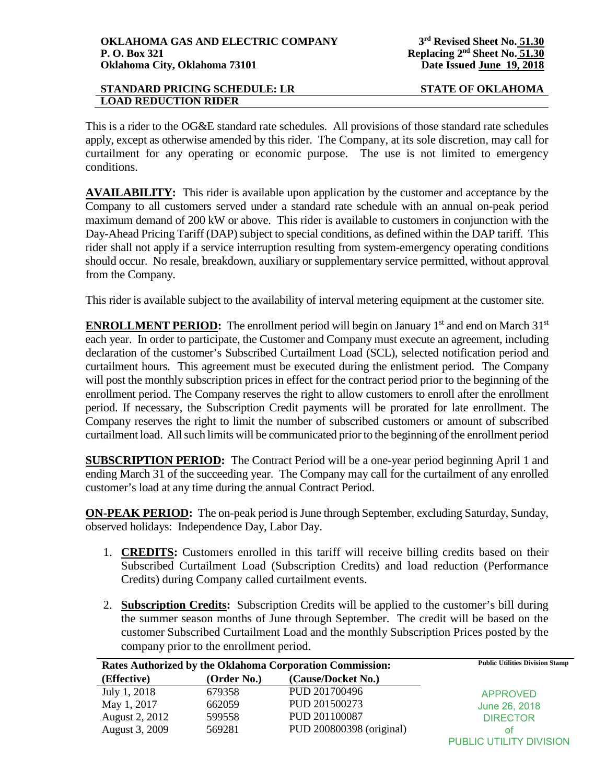This is a rider to the OG&E standard rate schedules. All provisions of those standard rate schedules apply, except as otherwise amended by this rider. The Company, at its sole discretion, may call for curtailment for any operating or economic purpose. The use is not limited to emergency conditions.

**AVAILABILITY:** This rider is available upon application by the customer and acceptance by the Company to all customers served under a standard rate schedule with an annual on-peak period maximum demand of 200 kW or above. This rider is available to customers in conjunction with the Day-Ahead Pricing Tariff (DAP) subject to special conditions, as defined within the DAP tariff. This rider shall not apply if a service interruption resulting from system-emergency operating conditions should occur. No resale, breakdown, auxiliary or supplementary service permitted, without approval from the Company.

This rider is available subject to the availability of interval metering equipment at the customer site.

**ENROLLMENT PERIOD:** The enrollment period will begin on January  $1<sup>st</sup>$  and end on March  $31<sup>st</sup>$ each year. In order to participate, the Customer and Company must execute an agreement, including declaration of the customer's Subscribed Curtailment Load (SCL), selected notification period and curtailment hours. This agreement must be executed during the enlistment period. The Company will post the monthly subscription prices in effect for the contract period prior to the beginning of the enrollment period. The Company reserves the right to allow customers to enroll after the enrollment period. If necessary, the Subscription Credit payments will be prorated for late enrollment. The Company reserves the right to limit the number of subscribed customers or amount of subscribed curtailment load. All such limits will be communicated prior to the beginning of the enrollment period

**SUBSCRIPTION PERIOD:** The Contract Period will be a one-year period beginning April 1 and ending March 31 of the succeeding year. The Company may call for the curtailment of any enrolled customer's load at any time during the annual Contract Period.

**ON-PEAK PERIOD:** The on-peak period is June through September, excluding Saturday, Sunday, observed holidays: Independence Day, Labor Day.

- 1. **CREDITS:** Customers enrolled in this tariff will receive billing credits based on their Subscribed Curtailment Load (Subscription Credits) and load reduction (Performance Credits) during Company called curtailment events.
- 2. **Subscription Credits:** Subscription Credits will be applied to the customer's bill during the summer season months of June through September. The credit will be based on the customer Subscribed Curtailment Load and the monthly Subscription Prices posted by the company prior to the enrollment period.

| Rates Authorized by the Oklahoma Corporation Commission: |             |                          | <b>Public Utilities Division Stamp</b> |
|----------------------------------------------------------|-------------|--------------------------|----------------------------------------|
| (Effective)                                              | (Order No.) | (Cause/Docket No.)       |                                        |
| July 1, 2018                                             | 679358      | PUD 201700496            | <b>APPROVED</b>                        |
| May 1, 2017                                              | 662059      | PUD 201500273            | June 26, 2018                          |
| August 2, 2012                                           | 599558      | PUD 201100087            | <b>DIRECTOR</b>                        |
| August 3, 2009                                           | 569281      | PUD 200800398 (original) | ΩŤ                                     |
|                                                          |             |                          | PUBLIC UTILITY DIVISION                |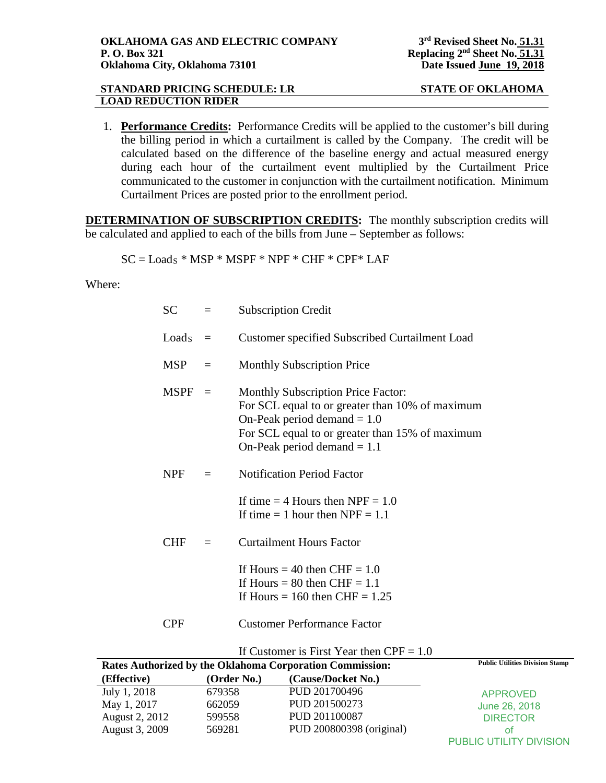1. **Performance Credits:** Performance Credits will be applied to the customer's bill during the billing period in which a curtailment is called by the Company. The credit will be calculated based on the difference of the baseline energy and actual measured energy during each hour of the curtailment event multiplied by the Curtailment Price communicated to the customer in conjunction with the curtailment notification. Minimum Curtailment Prices are posted prior to the enrollment period.

**DETERMINATION OF SUBSCRIPTION CREDITS:** The monthly subscription credits will be calculated and applied to each of the bills from June – September as follows:

$$
SC = LoadS * MSP * MSPF * NPF * CHF * CPF * LAF
$$

Where:

| SC         | $\equiv$ | <b>Subscription Credit</b>                                                                                                                                                                                        |
|------------|----------|-------------------------------------------------------------------------------------------------------------------------------------------------------------------------------------------------------------------|
| $LoadS =$  |          | Customer specified Subscribed Curtailment Load                                                                                                                                                                    |
| $MSP =$    |          | <b>Monthly Subscription Price</b>                                                                                                                                                                                 |
| $MSPF =$   |          | <b>Monthly Subscription Price Factor:</b><br>For SCL equal to or greater than 10% of maximum<br>On-Peak period demand $= 1.0$<br>For SCL equal to or greater than 15% of maximum<br>On-Peak period demand $= 1.1$ |
| <b>NPF</b> | $=$      | <b>Notification Period Factor</b>                                                                                                                                                                                 |
|            |          | If time $=$ 4 Hours then NPF $=$ 1.0<br>If time $= 1$ hour then NPF $= 1.1$                                                                                                                                       |
| <b>CHF</b> |          | <b>Curtailment Hours Factor</b>                                                                                                                                                                                   |
|            |          | If Hours = 40 then $CHF = 1.0$<br>If Hours = 80 then $CHF = 1.1$<br>If Hours = $160$ then CHF = $1.25$                                                                                                            |
| <b>CPF</b> |          | <b>Customer Performance Factor</b>                                                                                                                                                                                |
|            |          |                                                                                                                                                                                                                   |

| Rates Authorized by the Oklahoma Corporation Commission: |             |                          | <b>Public Utilities Division Stamp</b> |
|----------------------------------------------------------|-------------|--------------------------|----------------------------------------|
| (Effective)                                              | (Order No.) | (Cause/Docket No.)       |                                        |
| July 1, 2018                                             | 679358      | PUD 201700496            | <b>APPROVED</b>                        |
| May 1, 2017                                              | 662059      | PUD 201500273            | June 26, 2018                          |
| August 2, 2012                                           | 599558      | PUD 201100087            | <b>DIRECTOR</b>                        |
| August 3, 2009                                           | 569281      | PUD 200800398 (original) | ΩŤ                                     |
|                                                          |             |                          | <b>PUBLIC UTILITY DIVISION</b>         |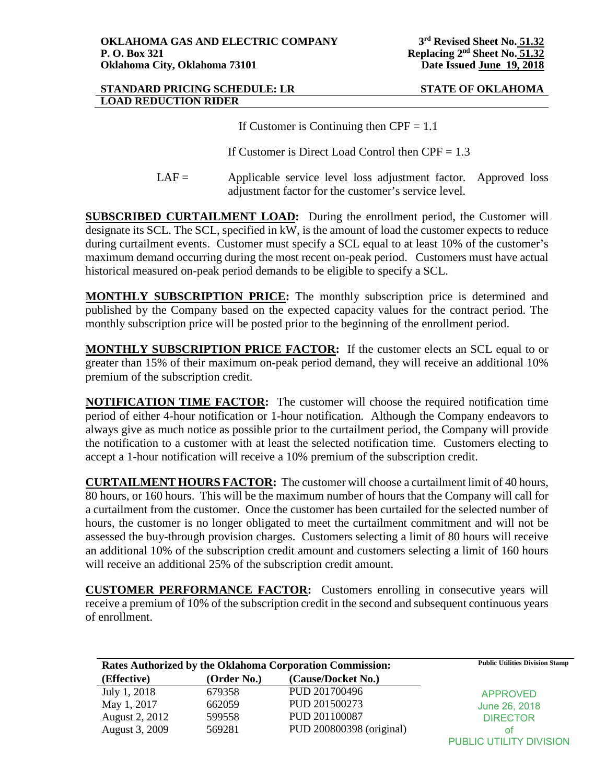If Customer is Continuing then  $CPF = 1.1$ 

If Customer is Direct Load Control then  $CPF = 1.3$ 

 $LAF =$  Applicable service level loss adjustment factor. Approved loss adjustment factor for the customer's service level.

**SUBSCRIBED CURTAILMENT LOAD:** During the enrollment period, the Customer will designate its SCL. The SCL, specified in kW, is the amount of load the customer expects to reduce during curtailment events. Customer must specify a SCL equal to at least 10% of the customer's maximum demand occurring during the most recent on-peak period. Customers must have actual historical measured on-peak period demands to be eligible to specify a SCL.

**MONTHLY SUBSCRIPTION PRICE:** The monthly subscription price is determined and published by the Company based on the expected capacity values for the contract period. The monthly subscription price will be posted prior to the beginning of the enrollment period.

**MONTHLY SUBSCRIPTION PRICE FACTOR:** If the customer elects an SCL equal to or greater than 15% of their maximum on-peak period demand, they will receive an additional 10% premium of the subscription credit.

**NOTIFICATION TIME FACTOR:** The customer will choose the required notification time period of either 4-hour notification or 1-hour notification. Although the Company endeavors to always give as much notice as possible prior to the curtailment period, the Company will provide the notification to a customer with at least the selected notification time. Customers electing to accept a 1-hour notification will receive a 10% premium of the subscription credit.

**CURTAILMENT HOURS FACTOR:** The customer will choose a curtailment limit of 40 hours, 80 hours, or 160 hours. This will be the maximum number of hours that the Company will call for a curtailment from the customer. Once the customer has been curtailed for the selected number of hours, the customer is no longer obligated to meet the curtailment commitment and will not be assessed the buy-through provision charges. Customers selecting a limit of 80 hours will receive an additional 10% of the subscription credit amount and customers selecting a limit of 160 hours will receive an additional 25% of the subscription credit amount.

**CUSTOMER PERFORMANCE FACTOR:** Customers enrolling in consecutive years will receive a premium of 10% of the subscription credit in the second and subsequent continuous years of enrollment.

|                |             | Rates Authorized by the Oklahoma Corporation Commission: | <b>Public Utilities Division Stamp</b> |
|----------------|-------------|----------------------------------------------------------|----------------------------------------|
| (Effective)    | (Order No.) | (Cause/Docket No.)                                       |                                        |
| July 1, 2018   | 679358      | PUD 201700496                                            | <b>APPROVED</b>                        |
| May 1, 2017    | 662059      | PUD 201500273                                            | June 26, 2018                          |
| August 2, 2012 | 599558      | PUD 201100087                                            | <b>DIRECTOR</b>                        |
| August 3, 2009 | 569281      | PUD 200800398 (original)                                 | ΩŤ                                     |
|                |             |                                                          | PUBLIC UTILITY DIVISION                |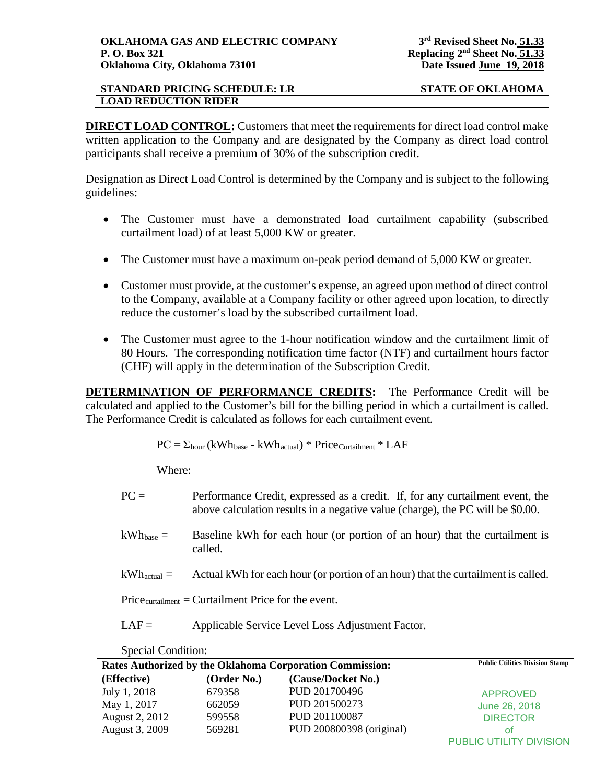**DIRECT LOAD CONTROL:** Customers that meet the requirements for direct load control make written application to the Company and are designated by the Company as direct load control participants shall receive a premium of 30% of the subscription credit.

Designation as Direct Load Control is determined by the Company and is subject to the following guidelines:

- The Customer must have a demonstrated load curtailment capability (subscribed curtailment load) of at least 5,000 KW or greater.
- The Customer must have a maximum on-peak period demand of 5,000 KW or greater.
- Customer must provide, at the customer's expense, an agreed upon method of direct control to the Company, available at a Company facility or other agreed upon location, to directly reduce the customer's load by the subscribed curtailment load.
- The Customer must agree to the 1-hour notification window and the curtailment limit of 80 Hours. The corresponding notification time factor (NTF) and curtailment hours factor (CHF) will apply in the determination of the Subscription Credit.

**DETERMINATION OF PERFORMANCE CREDITS:** The Performance Credit will be calculated and applied to the Customer's bill for the billing period in which a curtailment is called. The Performance Credit is calculated as follows for each curtailment event.

 $PC = \Sigma_{\text{hour}}$  (kWh<sub>base</sub> - kWh<sub>actual</sub>) \* Price<sub>Curtailment</sub> \* LAF

Where:

- $PC =$  Performance Credit, expressed as a credit. If, for any curtailment event, the above calculation results in a negative value (charge), the PC will be \$0.00.
- $kWh<sub>base</sub>$  = Baseline kWh for each hour (or portion of an hour) that the curtailment is called.
- $kWh_{actual} =$  Actual kWh for each hour (or portion of an hour) that the curtailment is called.

 $Price_{\text{cutailment}} = \text{Cuttailment}$  Price for the event.

LAF = Applicable Service Level Loss Adjustment Factor.

Special Condition:

|                |             | Rates Authorized by the Oklahoma Corporation Commission: | <b>Public Utilities Division Stamp</b> |
|----------------|-------------|----------------------------------------------------------|----------------------------------------|
| (Effective)    | (Order No.) | (Cause/Docket No.)                                       |                                        |
| July 1, 2018   | 679358      | PUD 201700496                                            | <b>APPROVED</b>                        |
| May 1, 2017    | 662059      | PUD 201500273                                            | June 26, 2018                          |
| August 2, 2012 | 599558      | PUD 201100087                                            | <b>DIRECTOR</b>                        |
| August 3, 2009 | 569281      | PUD 200800398 (original)                                 | Ωt                                     |
|                |             |                                                          | PUBLIC UTILITY DIVISION                |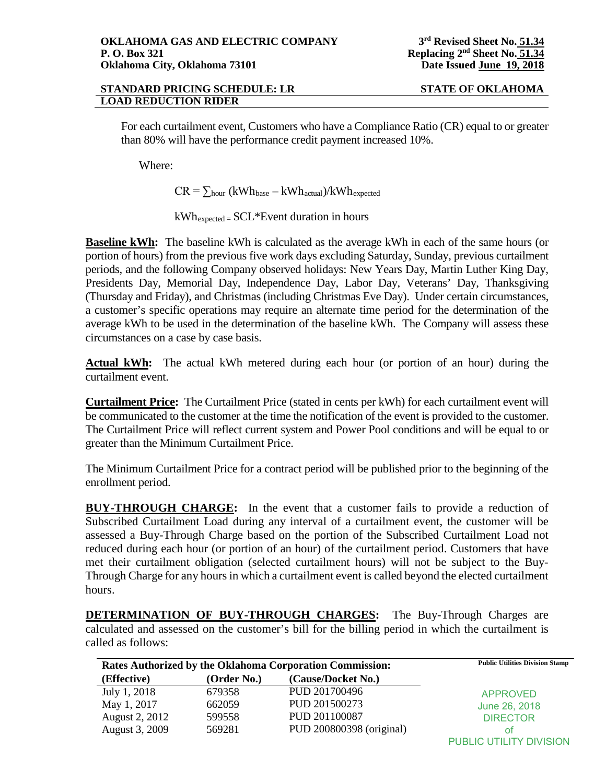For each curtailment event, Customers who have a Compliance Ratio (CR) equal to or greater than 80% will have the performance credit payment increased 10%.

Where:

 $CR = \sum_{hour} (kWh_{base} - kWh_{actual})/kWh_{expected}$ 

kWhexpected = SCL\*Event duration in hours

**Baseline kWh:** The baseline kWh is calculated as the average kWh in each of the same hours (or portion of hours) from the previous five work days excluding Saturday, Sunday, previous curtailment periods, and the following Company observed holidays: New Years Day, Martin Luther King Day, Presidents Day, Memorial Day, Independence Day, Labor Day, Veterans' Day, Thanksgiving (Thursday and Friday), and Christmas (including Christmas Eve Day). Under certain circumstances, a customer's specific operations may require an alternate time period for the determination of the average kWh to be used in the determination of the baseline kWh. The Company will assess these circumstances on a case by case basis.

**Actual kWh:** The actual kWh metered during each hour (or portion of an hour) during the curtailment event.

**Curtailment Price:** The Curtailment Price (stated in cents per kWh) for each curtailment event will be communicated to the customer at the time the notification of the event is provided to the customer. The Curtailment Price will reflect current system and Power Pool conditions and will be equal to or greater than the Minimum Curtailment Price.

The Minimum Curtailment Price for a contract period will be published prior to the beginning of the enrollment period.

**BUY-THROUGH CHARGE:** In the event that a customer fails to provide a reduction of Subscribed Curtailment Load during any interval of a curtailment event, the customer will be assessed a Buy-Through Charge based on the portion of the Subscribed Curtailment Load not reduced during each hour (or portion of an hour) of the curtailment period. Customers that have met their curtailment obligation (selected curtailment hours) will not be subject to the Buy-Through Charge for any hours in which a curtailment event is called beyond the elected curtailment hours.

**DETERMINATION OF BUY-THROUGH CHARGES:** The Buy-Through Charges are calculated and assessed on the customer's bill for the billing period in which the curtailment is called as follows:

|                |             | Rates Authorized by the Oklahoma Corporation Commission: | <b>Public Utilities Division Stamp</b> |
|----------------|-------------|----------------------------------------------------------|----------------------------------------|
| (Effective)    | (Order No.) | (Cause/Docket No.)                                       |                                        |
| July 1, 2018   | 679358      | PUD 201700496                                            | <b>APPROVED</b>                        |
| May 1, 2017    | 662059      | PUD 201500273                                            | June 26, 2018                          |
| August 2, 2012 | 599558      | PUD 201100087                                            | <b>DIRECTOR</b>                        |
| August 3, 2009 | 569281      | PUD 200800398 (original)                                 | ΩŤ                                     |
|                |             |                                                          | PUBLIC UTILITY DIVISION                |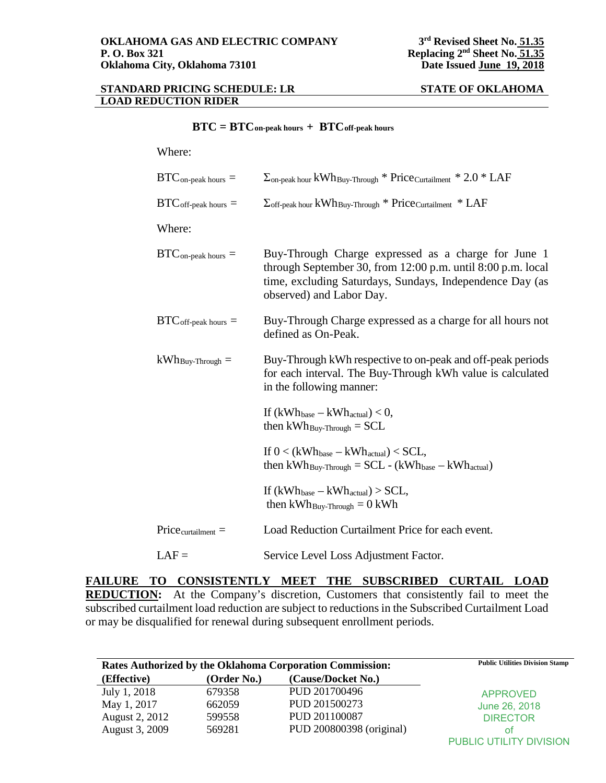|  | $BTC = BTC$ on-peak hours + $BTC$ off-peak hours |  |
|--|--------------------------------------------------|--|
|--|--------------------------------------------------|--|

## Where:

| $BTC_{\text{on-peak hours}} =$         | $\Sigma$ <sub>on-peak</sub> hour kWh <sub>Buy-Through</sub> * Price <sub>Curtailment</sub> * 2.0 * LAF                                                                                                     |
|----------------------------------------|------------------------------------------------------------------------------------------------------------------------------------------------------------------------------------------------------------|
| $BTC_{off\text{-peak hours}} =$        | $\Sigma$ off-peak hour $kWh$ Buy-Through * Price Curtailment * LAF                                                                                                                                         |
| Where:                                 |                                                                                                                                                                                                            |
| $BTC_{\text{on-peak hours}} =$         | Buy-Through Charge expressed as a charge for June 1<br>through September 30, from 12:00 p.m. until 8:00 p.m. local<br>time, excluding Saturdays, Sundays, Independence Day (as<br>observed) and Labor Day. |
| $\text{BTC}_{\text{off-peak hours}} =$ | Buy-Through Charge expressed as a charge for all hours not<br>defined as On-Peak.                                                                                                                          |
| $kWh_{\rm Buy\text{-}Through}=$        | Buy-Through kWh respective to on-peak and off-peak periods<br>for each interval. The Buy-Through kWh value is calculated<br>in the following manner:                                                       |
|                                        | If $(kWh_{base} - kWh_{actual}) < 0$ ,<br>then $kWh_{\text{Buy-Through}} = SCL$                                                                                                                            |
|                                        | If $0 < (kWh_{base} - kWh_{actual}) < SCL$ ,<br>then $kWh_{\text{Buy-Through}} = SCL - (kWh_{\text{base}} - kWh_{\text{actual}})$                                                                          |
|                                        | If $(kWh_{base} - kWh_{actual}) > SCL$ ,<br>then $kWh_{\text{Buy-Through}} = 0$ kWh                                                                                                                        |
| $Price_{\text{cutailment}} =$          | Load Reduction Curtailment Price for each event.                                                                                                                                                           |
| $LAF =$                                | Service Level Loss Adjustment Factor.                                                                                                                                                                      |

**FAILURE TO CONSISTENTLY MEET THE SUBSCRIBED CURTAIL LOAD REDUCTION:** At the Company's discretion, Customers that consistently fail to meet the subscribed curtailment load reduction are subject to reductions in the Subscribed Curtailment Load or may be disqualified for renewal during subsequent enrollment periods.

| Rates Authorized by the Oklahoma Corporation Commission: |             |                          | <b>Public Utilities Division Stamp</b> |
|----------------------------------------------------------|-------------|--------------------------|----------------------------------------|
| (Effective)                                              | (Order No.) | (Cause/Docket No.)       |                                        |
| July 1, 2018                                             | 679358      | PUD 201700496            | <b>APPROVED</b>                        |
| May 1, 2017                                              | 662059      | PUD 201500273            | June 26, 2018                          |
| August 2, 2012                                           | 599558      | PUD 201100087            | <b>DIRECTOR</b>                        |
| August 3, 2009                                           | 569281      | PUD 200800398 (original) | ΟŤ                                     |
|                                                          |             |                          | PUBLIC UTILITY DIVISION                |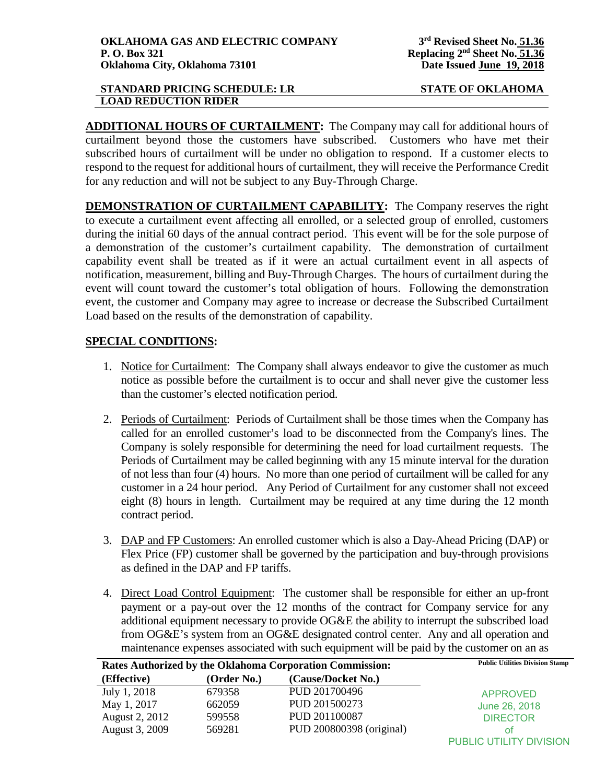**ADDITIONAL HOURS OF CURTAILMENT:** The Company may call for additional hours of curtailment beyond those the customers have subscribed. Customers who have met their subscribed hours of curtailment will be under no obligation to respond. If a customer elects to respond to the request for additional hours of curtailment, they will receive the Performance Credit for any reduction and will not be subject to any Buy-Through Charge.

**DEMONSTRATION OF CURTAILMENT CAPABILITY:** The Company reserves the right to execute a curtailment event affecting all enrolled, or a selected group of enrolled, customers during the initial 60 days of the annual contract period. This event will be for the sole purpose of a demonstration of the customer's curtailment capability. The demonstration of curtailment capability event shall be treated as if it were an actual curtailment event in all aspects of notification, measurement, billing and Buy-Through Charges. The hours of curtailment during the event will count toward the customer's total obligation of hours. Following the demonstration event, the customer and Company may agree to increase or decrease the Subscribed Curtailment Load based on the results of the demonstration of capability.

# **SPECIAL CONDITIONS:**

- 1. Notice for Curtailment: The Company shall always endeavor to give the customer as much notice as possible before the curtailment is to occur and shall never give the customer less than the customer's elected notification period.
- 2. Periods of Curtailment: Periods of Curtailment shall be those times when the Company has called for an enrolled customer's load to be disconnected from the Company's lines. The Company is solely responsible for determining the need for load curtailment requests. The Periods of Curtailment may be called beginning with any 15 minute interval for the duration of not less than four (4) hours. No more than one period of curtailment will be called for any customer in a 24 hour period. Any Period of Curtailment for any customer shall not exceed eight (8) hours in length. Curtailment may be required at any time during the 12 month contract period.
- 3. DAP and FP Customers: An enrolled customer which is also a Day-Ahead Pricing (DAP) or Flex Price (FP) customer shall be governed by the participation and buy-through provisions as defined in the DAP and FP tariffs.
- 4. Direct Load Control Equipment: The customer shall be responsible for either an up-front payment or a pay-out over the 12 months of the contract for Company service for any additional equipment necessary to provide OG&E the ability to interrupt the subscribed load from OG&E's system from an OG&E designated control center. Any and all operation and maintenance expenses associated with such equipment will be paid by the customer on an as

| Rates Authorized by the Oklahoma Corporation Commission: |             |                          | <b>Public Utilities Division Stamp</b> |
|----------------------------------------------------------|-------------|--------------------------|----------------------------------------|
| (Effective)                                              | (Order No.) | (Cause/Docket No.)       |                                        |
| July 1, 2018                                             | 679358      | PUD 201700496            | <b>APPROVED</b>                        |
| May 1, 2017                                              | 662059      | PUD 201500273            | June 26, 2018                          |
| August 2, 2012                                           | 599558      | PUD 201100087            | <b>DIRECTOR</b>                        |
| August 3, 2009                                           | 569281      | PUD 200800398 (original) | ΩŤ                                     |
|                                                          |             |                          | PUBLIC UTILITY DIVISION                |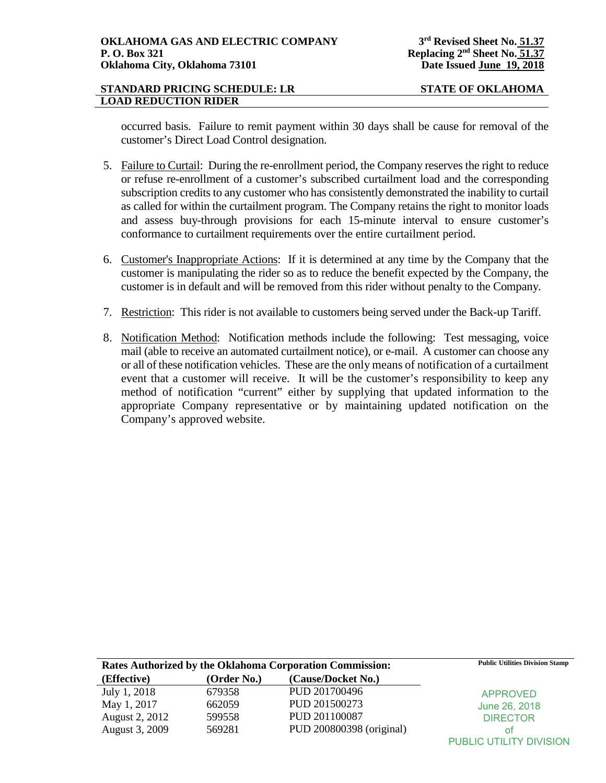occurred basis. Failure to remit payment within 30 days shall be cause for removal of the customer's Direct Load Control designation.

- 5. Failure to Curtail: During the re-enrollment period, the Company reserves the right to reduce or refuse re-enrollment of a customer's subscribed curtailment load and the corresponding subscription credits to any customer who has consistently demonstrated the inability to curtail as called for within the curtailment program. The Company retains the right to monitor loads and assess buy-through provisions for each 15-minute interval to ensure customer's conformance to curtailment requirements over the entire curtailment period.
- 6. Customer's Inappropriate Actions: If it is determined at any time by the Company that the customer is manipulating the rider so as to reduce the benefit expected by the Company, the customer is in default and will be removed from this rider without penalty to the Company.
- 7. Restriction: This rider is not available to customers being served under the Back-up Tariff.
- 8. Notification Method: Notification methods include the following: Test messaging, voice mail (able to receive an automated curtailment notice), or e-mail. A customer can choose any or all of these notification vehicles. These are the only means of notification of a curtailment event that a customer will receive. It will be the customer's responsibility to keep any method of notification "current" either by supplying that updated information to the appropriate Company representative or by maintaining updated notification on the Company's approved website.

| Rates Authorized by the Oklahoma Corporation Commission: |             |                          | <b>Public Utilities Division Stamp</b> |
|----------------------------------------------------------|-------------|--------------------------|----------------------------------------|
| (Effective)                                              | (Order No.) | (Cause/Docket No.)       |                                        |
| July 1, 2018                                             | 679358      | PUD 201700496            | <b>APPROVED</b>                        |
| May 1, 2017                                              | 662059      | PUD 201500273            | June 26, 2018                          |
| August 2, 2012                                           | 599558      | PUD 201100087            | <b>DIRECTOR</b>                        |
| August 3, 2009                                           | 569281      | PUD 200800398 (original) | ΩŤ                                     |
|                                                          |             |                          | <b>PUBLIC UTILITY DIVISION</b>         |